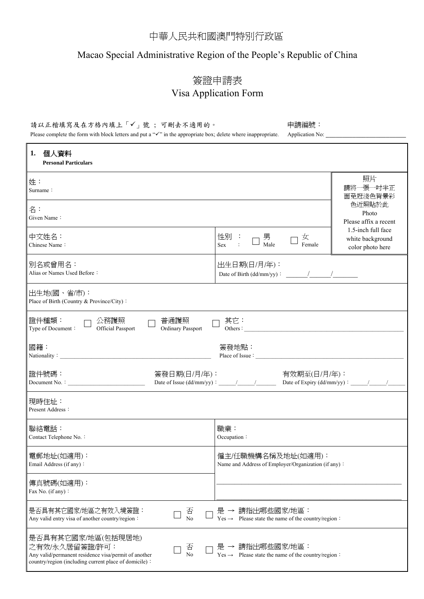## 中華人民共和國澳門特別行政區

## Macao Special Administrative Region of the People's Republic of China

## 簽證申請表 Visa Application Form

## 請以正楷填寫及在方格內填上「√」號;可刪去不適用的。 → 中請編號:

Please complete the form with block letters and put a "" in the appropriate box; delete where inappropriate. Application No: \_\_\_\_\_\_\_\_\_\_\_\_\_\_\_\_\_\_\_\_\_\_\_\_

| 個人資料<br>1.<br><b>Personal Particulars</b>                                                                                                                        |                                                                                                       |  |  |  |  |  |
|------------------------------------------------------------------------------------------------------------------------------------------------------------------|-------------------------------------------------------------------------------------------------------|--|--|--|--|--|
| 姓:<br>Surname:                                                                                                                                                   | 照片<br>請將一張一吋半正<br>面免冠淺色背景彩                                                                            |  |  |  |  |  |
| 名:<br>Given Name:                                                                                                                                                | 色近照貼於此<br>Photo<br>Please affix a recent                                                              |  |  |  |  |  |
| 中文姓名:<br>Chinese Name:                                                                                                                                           | 1.5-inch full face<br>性別 :<br>男<br>Male<br>女<br>white background<br>Sex<br>Female<br>color photo here |  |  |  |  |  |
| 別名或曾用名:<br>Alias or Names Used Before:                                                                                                                           | 出生日期(日/月/年):                                                                                          |  |  |  |  |  |
| 出生地(國、省/市):<br>Place of Birth (Country & Province/City):                                                                                                         |                                                                                                       |  |  |  |  |  |
| 證件種類:<br>公務護照<br>普通護照<br>其它:<br>Official Passport<br>Others:<br><b>Ordinary Passport</b><br>Type of Document:                                                    |                                                                                                       |  |  |  |  |  |
| 國籍:<br>簽發地點:<br>Place of Issue :<br>Nationality: Nationality:                                                                                                    |                                                                                                       |  |  |  |  |  |
| 證件號碼:<br>簽發日期(日/月/年):          有效期至(日/月/年):<br>Date of Issue (dd/mm/yy):_____/_____/_______ Date of Expiry (dd/mm/yy):_____/_____/_____<br>Document No. :        |                                                                                                       |  |  |  |  |  |
| 現時住址:<br>Present Address:                                                                                                                                        |                                                                                                       |  |  |  |  |  |
| 聯絡電話:<br>Contact Telephone No.:                                                                                                                                  | 職業:<br>Occupation:                                                                                    |  |  |  |  |  |
| 電郵地址(如適用):<br>Email Address (if any):                                                                                                                            | 僱主/任職機構名稱及地址(如適用):<br>Name and Address of Employer/Organization (if any):                             |  |  |  |  |  |
| 傳真號碼(如適用):<br>Fax No. (if any):                                                                                                                                  |                                                                                                       |  |  |  |  |  |
| 是否具有其它國家/地區之有效入境簽證:<br>否<br>No<br>Any valid entry visa of another country/region:                                                                                | 是 → 請指出哪些國家/地區:<br>Please state the name of the country/region:<br>$Yes \rightarrow$                  |  |  |  |  |  |
| 是否具有其它國家/地區(包括現居地)<br>之有效/永久居留簽證/許可:<br>否<br>No<br>Any valid/permanent residence visa/permit of another<br>country/region (including current place of domicile): | 是 → 請指出哪些國家/地區:<br>$Yes \rightarrow$ Please state the name of the country/region :                    |  |  |  |  |  |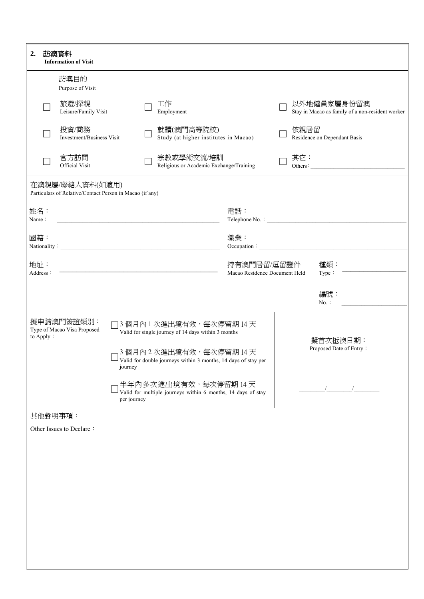| 2.              |                                                                                                                       | 訪澳資料<br><b>Information of Visit</b>                                         |  |  |                                                                                           |                                              |                                     |                                                                 |
|-----------------|-----------------------------------------------------------------------------------------------------------------------|-----------------------------------------------------------------------------|--|--|-------------------------------------------------------------------------------------------|----------------------------------------------|-------------------------------------|-----------------------------------------------------------------|
|                 |                                                                                                                       | 訪澳目的<br>Purpose of Visit                                                    |  |  |                                                                                           |                                              |                                     |                                                                 |
|                 |                                                                                                                       | 旅遊/探親<br>Leisure/Family Visit                                               |  |  | 工作<br>Employment                                                                          |                                              |                                     | 以外地僱員家屬身份留澳<br>Stay in Macao as family of a non-resident worker |
|                 |                                                                                                                       | 投資/商務<br>Investment/Business Visit                                          |  |  | 就讀(澳門高等院校)<br>Study (at higher institutes in Macao)                                       |                                              |                                     | 依親居留<br>Residence on Dependant Basis                            |
|                 |                                                                                                                       | 官方訪問<br>Official Visit                                                      |  |  | 宗教或學術交流/培訓<br>Religious or Academic Exchange/Training                                     |                                              |                                     | 其它:<br>Others:                                                  |
|                 |                                                                                                                       | 在澳親屬/聯絡人資料(如適用)<br>Particulars of Relative/Contact Person in Macao (if any) |  |  |                                                                                           |                                              |                                     |                                                                 |
| 姓名:<br>Name:    |                                                                                                                       |                                                                             |  |  | <u> 1989 - Johann John Stone, mars and deutscher Stone († 1951)</u>                       | 電話:                                          |                                     |                                                                 |
| 國籍:             |                                                                                                                       |                                                                             |  |  |                                                                                           | 職業:                                          |                                     | Occupation:                                                     |
| 地址:<br>Address: |                                                                                                                       |                                                                             |  |  | <u> 1989 - Johann John Stein, marwolaethau (b. 1989)</u>                                  | 持有澳門居留/逗留證件<br>Macao Residence Document Held |                                     | 種類:<br>Type:                                                    |
|                 |                                                                                                                       |                                                                             |  |  | the control of the control of the control of the control of the control of the control of |                                              |                                     | 編號:<br>$No.$ :                                                  |
|                 |                                                                                                                       | 擬申請澳門簽證類別:<br>Type of Macao Visa Proposed                                   |  |  | 3個月內1次進出境有效,每次停留期14天<br>Valid for single journey of 14 days within 3 months               |                                              |                                     |                                                                 |
|                 | to Apply:<br>3個月內2次進出境有效,每次停留期14天<br>$\Box$ Valid for double journeys within 3 months, 14 days of stay per<br>journey |                                                                             |  |  |                                                                                           |                                              | 擬首次抵澳日期:<br>Proposed Date of Entry: |                                                                 |
|                 | 半年內多次進出境有效,每次停留期14天<br>Valid for multiple journeys within 6 months, 14 days of stay<br>per journey                    |                                                                             |  |  |                                                                                           |                                              |                                     |                                                                 |
|                 |                                                                                                                       | 其他聲明事項:                                                                     |  |  |                                                                                           |                                              |                                     |                                                                 |
|                 |                                                                                                                       | Other Issues to Declare:                                                    |  |  |                                                                                           |                                              |                                     |                                                                 |
|                 |                                                                                                                       |                                                                             |  |  |                                                                                           |                                              |                                     |                                                                 |
|                 |                                                                                                                       |                                                                             |  |  |                                                                                           |                                              |                                     |                                                                 |
|                 |                                                                                                                       |                                                                             |  |  |                                                                                           |                                              |                                     |                                                                 |
|                 |                                                                                                                       |                                                                             |  |  |                                                                                           |                                              |                                     |                                                                 |
|                 |                                                                                                                       |                                                                             |  |  |                                                                                           |                                              |                                     |                                                                 |
|                 |                                                                                                                       |                                                                             |  |  |                                                                                           |                                              |                                     |                                                                 |
|                 |                                                                                                                       |                                                                             |  |  |                                                                                           |                                              |                                     |                                                                 |
|                 |                                                                                                                       |                                                                             |  |  |                                                                                           |                                              |                                     |                                                                 |
|                 |                                                                                                                       |                                                                             |  |  |                                                                                           |                                              |                                     |                                                                 |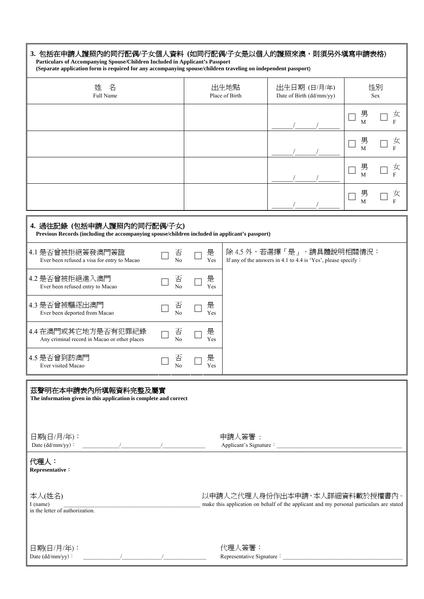| 3. 包括在申請人護照內的同行配偶/子女個人資料 (如同行配偶/子女是以個人的護照來澳,則須另外填寫申請表格)<br>Particulars of Accompanying Spouse/Children Included in Applicant's Passport<br>(Separate application form is required for any accompanying spouse/children traveling on independent passport)                                                                            |  |                     |          |                        |                                                                                             |                                          |  |
|--------------------------------------------------------------------------------------------------------------------------------------------------------------------------------------------------------------------------------------------------------------------------------------------------------------------------------------|--|---------------------|----------|------------------------|---------------------------------------------------------------------------------------------|------------------------------------------|--|
| 姓<br>名<br>Full Name                                                                                                                                                                                                                                                                                                                  |  |                     |          | 出生地點<br>Place of Birth | 出生日期 (日/月/年)<br>Date of Birth (dd/mm/yy)                                                    | 性別<br>Sex                                |  |
|                                                                                                                                                                                                                                                                                                                                      |  |                     |          |                        |                                                                                             | 男<br>女<br>F<br>$\overline{M}$            |  |
|                                                                                                                                                                                                                                                                                                                                      |  |                     |          |                        |                                                                                             | 男<br>女<br>F<br>M                         |  |
|                                                                                                                                                                                                                                                                                                                                      |  |                     |          |                        |                                                                                             | 男<br>女<br>F<br>$\mathbf{M}$              |  |
|                                                                                                                                                                                                                                                                                                                                      |  |                     |          |                        |                                                                                             | 男<br>女<br>$\overline{F}$<br>$\mathbf{M}$ |  |
| 4. 過往記錄 (包括申請人護照內的同行配偶/子女)<br>Previous Records (including the accompanying spouse/children included in applicant's passport)                                                                                                                                                                                                         |  |                     |          |                        |                                                                                             |                                          |  |
| 4.1 是否曾被拒絕簽發澳門簽證<br>Ever been refused a visa for entry to Macao                                                                                                                                                                                                                                                                      |  | 否<br>N <sub>o</sub> | 是<br>Yes |                        | 除 4.5 外,若選擇「是」,請具體說明相關情況:<br>If any of the answers in 4.1 to 4.4 is 'Yes', please specify : |                                          |  |
| 4.2 是否曾被拒絕進入澳門<br>Ever been refused entry to Macao                                                                                                                                                                                                                                                                                   |  | 否<br>N <sub>o</sub> | 是<br>Yes |                        |                                                                                             |                                          |  |
| 4.3 是否曾被驅逐出澳門<br>Ever been deported from Macao                                                                                                                                                                                                                                                                                       |  | 否<br>N <sub>o</sub> | 是<br>Yes |                        |                                                                                             |                                          |  |
| 4.4 在澳門或其它地方是否有犯罪紀錄<br>Any criminal record in Macao or other places                                                                                                                                                                                                                                                                  |  | 否<br>N <sub>o</sub> | 是<br>Yes |                        |                                                                                             |                                          |  |
| 4.5 是否曾到訪澳門<br>Ever visited Macao                                                                                                                                                                                                                                                                                                    |  | 否<br>No             | 是<br>Yes |                        |                                                                                             |                                          |  |
| 茲聲明在本申請表內所塡報資料完整及屬實<br>The information given in this application is complete and correct                                                                                                                                                                                                                                             |  |                     |          |                        |                                                                                             |                                          |  |
| 日期(日/月/年):                                                                                                                                                                                                                                                                                                                           |  |                     |          | 申請人簽署:                 | Applicant's Signature :                                                                     |                                          |  |
| 代理人:<br>Representative:                                                                                                                                                                                                                                                                                                              |  |                     |          |                        |                                                                                             |                                          |  |
| 本人(姓名)<br>以申請人之代理人身份作出本申請,本人詳細資料載於授權書內。<br>make this application on behalf of the applicant and my personal particulars are stated<br>I (name)<br>in the letter of authorization.                                                                                                                                                    |  |                     |          |                        |                                                                                             |                                          |  |
| 日期(日/月/年):<br>$\frac{1}{2}$ . The contract of $\frac{1}{2}$ , $\frac{1}{2}$ , $\frac{1}{2}$ , $\frac{1}{2}$ , $\frac{1}{2}$ , $\frac{1}{2}$ , $\frac{1}{2}$ , $\frac{1}{2}$ , $\frac{1}{2}$ , $\frac{1}{2}$ , $\frac{1}{2}$ , $\frac{1}{2}$ , $\frac{1}{2}$ , $\frac{1}{2}$ , $\frac{1}{2}$ , $\frac{1}{2}$ ,<br>Date $(dd/mm/yy)$ : |  |                     |          | 代理人簽署:                 |                                                                                             |                                          |  |

7